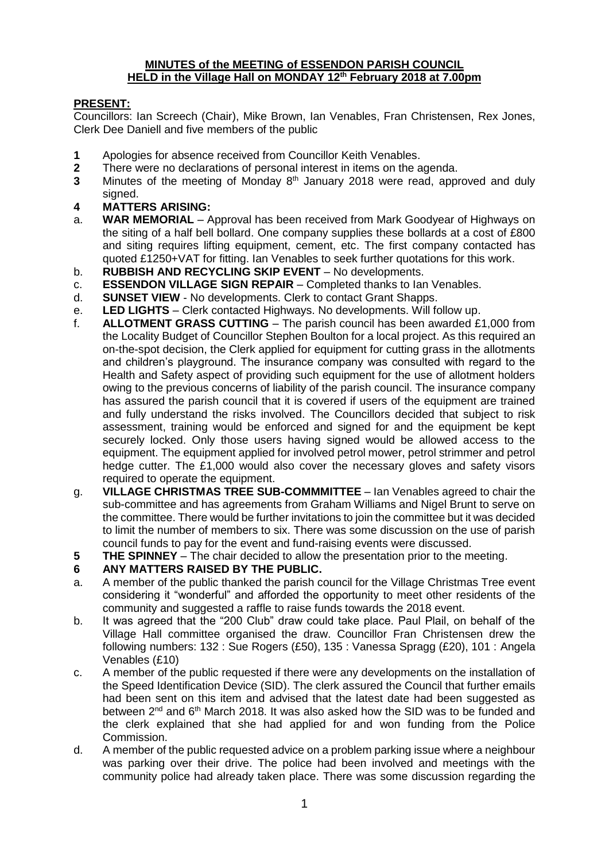#### **MINUTES of the MEETING of ESSENDON PARISH COUNCIL HELD in the Village Hall on MONDAY 12th February 2018 at 7.00pm**

## **PRESENT:**

Councillors: Ian Screech (Chair), Mike Brown, Ian Venables, Fran Christensen, Rex Jones, Clerk Dee Daniell and five members of the public

- **1** Apologies for absence received from Councillor Keith Venables.
- **2** There were no declarations of personal interest in items on the agenda.
- **3** Minutes of the meeting of Monday 8<sup>th</sup> January 2018 were read, approved and duly signed.
- **4 MATTERS ARISING:**
- a. **WAR MEMORIAL** Approval has been received from Mark Goodyear of Highways on the siting of a half bell bollard. One company supplies these bollards at a cost of £800 and siting requires lifting equipment, cement, etc. The first company contacted has quoted £1250+VAT for fitting. Ian Venables to seek further quotations for this work.
- b. **RUBBISH AND RECYCLING SKIP EVENT** No developments.
- c. **ESSENDON VILLAGE SIGN REPAIR** Completed thanks to Ian Venables.
- d. **SUNSET VIEW** No developments. Clerk to contact Grant Shapps.
- e. **LED LIGHTS** Clerk contacted Highways. No developments. Will follow up.
- f. **ALLOTMENT GRASS CUTTING** The parish council has been awarded £1,000 from the Locality Budget of Councillor Stephen Boulton for a local project. As this required an on-the-spot decision, the Clerk applied for equipment for cutting grass in the allotments and children's playground. The insurance company was consulted with regard to the Health and Safety aspect of providing such equipment for the use of allotment holders owing to the previous concerns of liability of the parish council. The insurance company has assured the parish council that it is covered if users of the equipment are trained and fully understand the risks involved. The Councillors decided that subject to risk assessment, training would be enforced and signed for and the equipment be kept securely locked. Only those users having signed would be allowed access to the equipment. The equipment applied for involved petrol mower, petrol strimmer and petrol hedge cutter. The £1,000 would also cover the necessary gloves and safety visors required to operate the equipment.
- g. **VILLAGE CHRISTMAS TREE SUB-COMMMITTEE** Ian Venables agreed to chair the sub-committee and has agreements from Graham Williams and Nigel Brunt to serve on the committee. There would be further invitations to join the committee but it was decided to limit the number of members to six. There was some discussion on the use of parish council funds to pay for the event and fund-raising events were discussed.
- **5 THE SPINNEY** The chair decided to allow the presentation prior to the meeting.

#### **6 ANY MATTERS RAISED BY THE PUBLIC.**

- a. A member of the public thanked the parish council for the Village Christmas Tree event considering it "wonderful" and afforded the opportunity to meet other residents of the community and suggested a raffle to raise funds towards the 2018 event.
- b. It was agreed that the "200 Club" draw could take place. Paul Plail, on behalf of the Village Hall committee organised the draw. Councillor Fran Christensen drew the following numbers: 132 : Sue Rogers (£50), 135 : Vanessa Spragg (£20), 101 : Angela Venables (£10)
- c. A member of the public requested if there were any developments on the installation of the Speed Identification Device (SID). The clerk assured the Council that further emails had been sent on this item and advised that the latest date had been suggested as between 2nd and 6th March 2018. It was also asked how the SID was to be funded and the clerk explained that she had applied for and won funding from the Police Commission.
- d. A member of the public requested advice on a problem parking issue where a neighbour was parking over their drive. The police had been involved and meetings with the community police had already taken place. There was some discussion regarding the